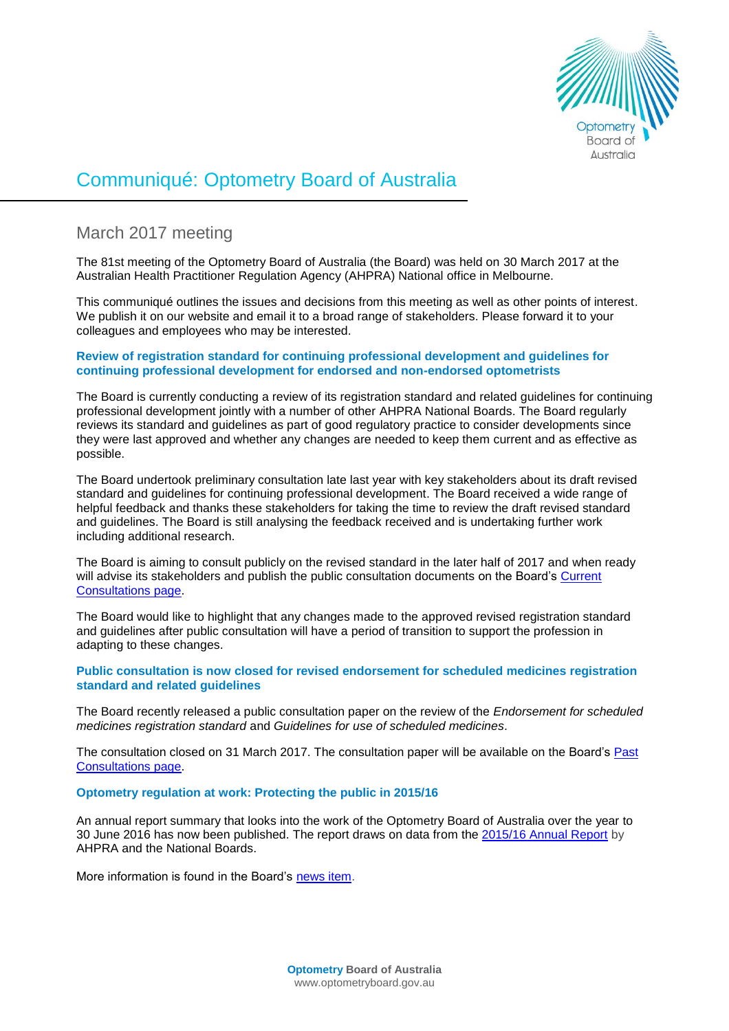

# Communiqué: Optometry Board of Australia

# March 2017 meeting

The 81st meeting of the Optometry Board of Australia (the Board) was held on 30 March 2017 at the Australian Health Practitioner Regulation Agency (AHPRA) National office in Melbourne.

This communiqué outlines the issues and decisions from this meeting as well as other points of interest. We publish it on our website and email it to a broad range of stakeholders. Please forward it to your colleagues and employees who may be interested.

# **Review of registration standard for continuing professional development and guidelines for continuing professional development for endorsed and non-endorsed optometrists**

The Board is currently conducting a review of its registration standard and related guidelines for continuing professional development jointly with a number of other AHPRA National Boards. The Board regularly reviews its standard and guidelines as part of good regulatory practice to consider developments since they were last approved and whether any changes are needed to keep them current and as effective as possible.

The Board undertook preliminary consultation late last year with key stakeholders about its draft revised standard and guidelines for continuing professional development. The Board received a wide range of helpful feedback and thanks these stakeholders for taking the time to review the draft revised standard and guidelines. The Board is still analysing the feedback received and is undertaking further work including additional research.

The Board is aiming to consult publicly on the revised standard in the later half of 2017 and when ready will advise its stakeholders and publish the public consultation documents on the Board's Current [Consultations page.](http://www.optometryboard.gov.au/News/Current-Consultations.aspx)

The Board would like to highlight that any changes made to the approved revised registration standard and guidelines after public consultation will have a period of transition to support the profession in adapting to these changes.

**Public consultation is now closed for revised endorsement for scheduled medicines registration standard and related guidelines**

The Board recently released a public consultation paper on the review of the *Endorsement for scheduled medicines registration standard* and *Guidelines for use of scheduled medicines*.

The consultation closed on 31 March 2017. The consultation paper will be available on the Board's [Past](http://www.optometryboard.gov.au/News/Past-Consultations.aspx) [Consultations page.](http://www.optometryboard.gov.au/News/Past-Consultations.aspx)

### **Optometry regulation at work: Protecting the public in 2015/16**

An annual report summary that looks into the work of the Optometry Board of Australia over the year to 30 June 2016 has now been published. The report draws on data from the [2015/16 Annual Report](http://www.ahpra.gov.au/annualreport/2016/downloads.html) by AHPRA and the National Boards.

More information is found in the Board's [news item.](http://www.optometryboard.gov.au/News/2017-03-09-regulation-at-work.aspx)